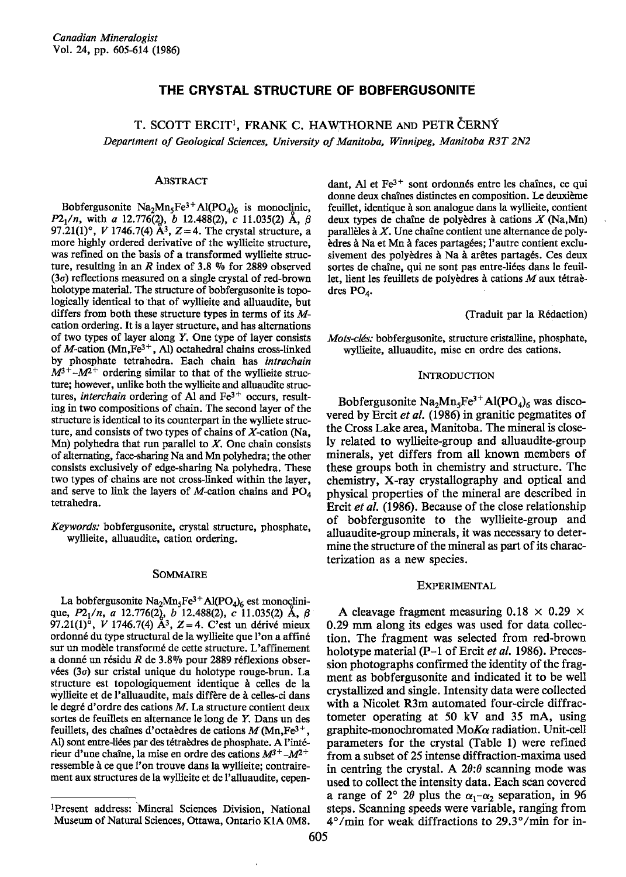# THE CRYSTAL STRUCTURE OF BOBFERGUSONITE

T. SCOTT ERCIT<sup>1</sup>, FRANK C. HAWTHORNE AND PETR CERNY Department of Geological Sciences, University of Manitoba, Winnipeg, Manitoba R3T 2N2

### ABSTRAcT

Bobfergusonite  $Na<sub>2</sub>Mn<sub>5</sub>Fe<sup>3+</sup>Al(PO<sub>4</sub>)<sub>6</sub>$  is monoclinic,  $P2_1/n$ , with a 12.776(2), b 12.488(2), c 11.035(2) A,  $\beta$ 97.21(1)°, *V* 1746.7(4)  $\AA^3$ , *Z* = 4. The crystal structure, a more highly ordered derivative of the wyllieite structure, was refined on the basis of a transformed wyllieite structure, resulting in an R index of 3.8  $\%$  for 2889 observed (3o) reflections measured on a single crystal of red-brown holotype material. The structure of bobfergusonite is topologically identical to that of wyllieite and alluaudite, but differs from both these structure types in terms of its Mcation ordering. It is a layer structure, and has alternations of two types of layer along Y. One type of layer consists of M-cation (Mn,  $Fe^{3+}$ , Al) octahedral chains cross-linked by phosphate tetrahedra. Each chain has intrachain  $M^{3+}$  - $M^{2+}$  ordering similar to that of the wyllieite structure; however, unlike both the wyllieite and alluaudite structures, interchain ordering of Al and  $Fe<sup>3+</sup>$  occurs, resulting in two compositions of chain. The second layer of the structure is identical to its counterpaxt in the wylliete structure, and consists of two types of chains of  $X$ -cation (Na, Mn) polyhedra that run parallel to  $X$ . One chain consists of alternating, face-sharing Na and Mn polyhedra; the other consists exclusively of edge-sharing Na polyhedra. These two types of chains are not cross-linked within the layer, and serve to link the layers of M-cation chains and  $PO<sub>A</sub>$ tetrahedra.

Keywords: bobfergusonite, crystal structure, phosphate, wyllieite, alluaudite, cation ordering.

### SoMMAIRE

La bobfergusonite  $\text{Na}_2\text{Mn}_5\text{Fe}^{3+}\text{Al}(\text{PO}_4)_6$  est monoclinique, P2<sub>1</sub>/n, a 12.776(2), b 12.488(2), c 11.035(2) Å, β<br>97.21(1)°, *V* 1746.7(4) Å<sup>3</sup>, Z=4. C'est un dérivé mieux ordonne du type structural de la wyllieite que l'on a affin6 sur un modèle transformé de cette structure. L'affinement a donné un résidu R de 3.8% pour 2889 réflexions observées ( $3\sigma$ ) sur cristal unique du holotype rouge-brun. La structure est topologiquement identique à celles de la wyllieite et de l'alluaudite, mais diffère de à celles-ci dans le degr€ d'ordre des cations M. La structure contient deux sortes de feuillets en alternance le long de Y. Dans un des feuillets, des chaînes d'octaèdres de cations  $M$  (Mn, Fe<sup>3+</sup>, Al) sont entre-liées par des tétraèdres de phosphate. A l'intérieur d'une chaîne, la mise en ordre des cations  $M^{3+}$  - $M^{2+}$ ressemble à ce que l'on trouve dans la wyllieite; contrairement aux structures de la wyllieite et de l'alluaudite, cepen-

dant, Al et  $Fe<sup>3+</sup>$  sont ordonnés entre les chaînes, ce qui donne deux chaînes distinctes en composition. Le deuxième feuillet, identique à son analogue dans la wyllieite, contient deux types de chaîne de polyèdres à cations  $X$  (Na,Mn) parallèles à  $X$ . Une chaîne contient une alternance de polyèdres à Na et Mn à faces partagées; l'autre contient exclusivement des polyèdres à Na à arêtes partagés. Ces deux sortes de chaîne, qui ne sont pas entre-liées dans le feuillet, lient les feuillets de polyèdres à cations  $M$  aux tétraèdres  $PO<sub>A</sub>$ .

### (Traduit par la Rédaction)

Mots-clés: bobfergusonite, structure cristalline, phosphate, wyllieite, alluaudite, mise en ordre des cations.

### INTRODUCTION

Bobfergusonite  $Na<sub>2</sub>Mn<sub>5</sub>Fe<sup>3+</sup>Al(PO<sub>4</sub>)<sub>6</sub>$  was discovered by Ercit et al.  $(1986)$  in granitic pegmatites of the Cross Lake area, Manitoba. The mineral is closely related to wyllieite-group and alluaudite-group minerals, yet differs from all known members of these groups both in chemistry and structure. The chemistry, X-ray crystallography and optical and physical properties of the mineral are described in Ercit et al. (1986). Because of the close relationship of bobfergusonite to the wyllieite-group and alluaudite-group minerals, it was necessary to determine the structure of the mineral as part of its characterization as a new species.

## EXPERIMENTAL

A cleavage fragment measuring  $0.18 \times 0.29 \times$ 0.29 mm along its edges was used for data collection. The fragment was selected from red-brown holotype material (P-1 of Ercit et al. 1986). Precession photographs confirmed the identity of the fragment as bobfergusonite and indicated it to be well crystallized and single. Intensity data were collected with a Nicolet R3m automated four-circle diffractometer operating at 50 kV and 35 mA, using graphite-monochromated Mo $K\alpha$  radiation. Unit-cell paramelers for the crystal (Table l) were refined from a subset of 25 intense diffraction-maxima used in centring the crystal. A  $2\theta$ :  $\theta$  scanning mode was used to collect the intensity data. Each scan covered a range of  $2^{\circ}$  2 $\theta$  plus the  $\alpha_1-\alpha_2$  separation, in 96 steps. Scanning speeds were variable, ranging from  $4^{\circ}/$ min for weak diffractions to  $29.3^{\circ}/$ min for in-

lPresenl address: Mineral Sciences Division, National Museum of Natural Sciences, Ottawa, Ontario KIA 0M8.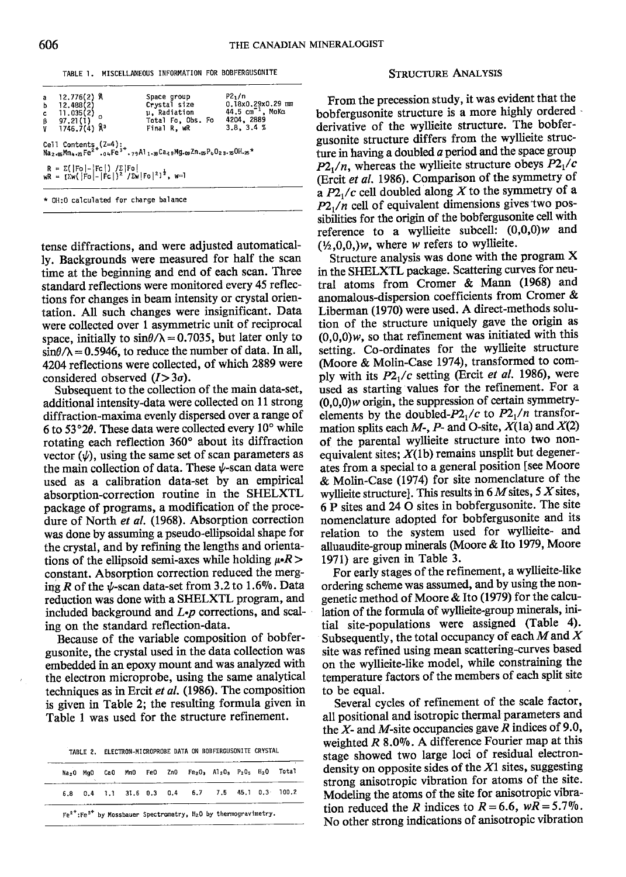TABLE 1. MISCELLANEOUS INFORMATION FOR BOBFERGUSONITE STRUCTURE ANALYSIS

| a 12.776(2) Å<br>b 12.488(2)<br>c 11.035(2)<br>β 97.21(1)<br>V 1746.7(4) Å <sup>3</sup>                                                               | Space group<br>$\mu$ , Radiation<br>Total Fo, Obs. Fo 4204, 2889<br>Final R. wR                                                                                                                                                     | P2 <sub>1</sub> /n<br>Crystal size 0.18x0.29x0.29 mm<br>44.5 $cm^{-1}$ , MoK $\alpha$<br>3.8.3.4% |
|-------------------------------------------------------------------------------------------------------------------------------------------------------|-------------------------------------------------------------------------------------------------------------------------------------------------------------------------------------------------------------------------------------|---------------------------------------------------------------------------------------------------|
|                                                                                                                                                       | Cell Contents $(2=4):$<br>Na <sub>2.98</sub> Mn <sub>4</sub> . <sub>21</sub> Fe <sup>2+</sup> , <sub>04</sub> Fe <sup>3+</sup> ,79Al <sub>1</sub> .38Ca <sub>3</sub> 9Mg.03Zn.03P <sub>6</sub> O <sub>23</sub> .30H.25 <sup>*</sup> |                                                                                                   |
| $R = \sum ( \text{Fo}  -  \text{Fc} ) / \sum  \text{Fo} $<br>wR = $[\sum w ( \text{Fo}  -  \text{Fc} )^2 / \sum w  \text{Fo} ^2]^{\frac{1}{2}}$ , w=1 |                                                                                                                                                                                                                                     |                                                                                                   |
| * OH:O calculated for charge balance                                                                                                                  |                                                                                                                                                                                                                                     |                                                                                                   |

tense diffractions, and were adjusted automatically. Backgrounds were measured for half the scan time at the beginning and end of each scan. Three standard reflections were monitored every 45 reflections for changes in beam intensity or crystal orientation. All such changes were insignificant. Data were collected over 1 asymmetric unit of reciprocal space, initially to  $sin\theta/\lambda = 0.7035$ , but later only to  $\sin\theta/\lambda = 0.5946$ , to reduce the number of data. In all, 4204 reflections were collected, of which 2889 were considered observed  $(I>3\sigma)$ .

Subsequent to the collection of the main data-set. additional intensity-data were collected on 11 strong diffraction-maxima evenly dispersed over a range of 6 to 53°2 $\theta$ . These data were collected every 10° while rotating each reflection 360' about its diffraction vector  $(\psi)$ , using the same set of scan parameters as the main collection of data. These  $\psi$ -scan data were used as a calibration data-set by an empirical absorption-correction routine in the SHELXTL package of programs, a modification of the procedure of North et al. (1968). Absorption correction was done by assuming a pseudo-ellipsoidal shape for the crystal, and by refining the lengths and orientations of the ellipsoid semi-axes while holding  $\mu \cdot R$  > constant. Absorption correction reduced the merging R of the  $\psi$ -scan data-set from 3.2 to 1.6%. Data reduction was done with a SIIELXTL program, and included background and  $L$ - $p$  corrections, and scaling on the standard reflection-data.

Because of the variable composition of bobfergusonite, the crystal used in the data collection was embedded in an epoxy mount and was analyzed with the electron microprobe, using the same analytical techniques as in Ercit et al. (1986). The composition is given in Table 2; the resulting formula given in Table I was used for the structure refinement.

TABLE 2. ELECTRON-MICROPROBE DATA ON BOBFERGUSONITE CRYSTAL

|  |  |  | Na <sub>2</sub> 0 Mg0 Ca0 Mm0 Fe0 Zn0 Fe <sub>2</sub> 0 <sub>3</sub> Al <sub>2</sub> 0 <sub>3</sub> P <sub>2</sub> 0 <sub>5</sub> H <sub>2</sub> 0 Total |  |  |
|--|--|--|----------------------------------------------------------------------------------------------------------------------------------------------------------|--|--|
|  |  |  | 6.8 0.4 1.1 31.6 0.3 0.4 6.7 7.5 45.1 0.3 100.2                                                                                                          |  |  |

From the precession study, it was evident that the bobfergusonite structure is a more highly ordered derivative of the wyllieite structure. The bobfergusonite structure differs from the wyllieite structure in having a doubled  $a$  period and the space group  $P2_1/n$ , whereas the wyllieite structure obeys  $P2_1/c$ (Ercit et al. 1986). Comparison of the symmetry of a  $P2/|c|$  cell doubled along X to the symmetry of a  $P2_1/n$  cell of equivalent dimensions gives two possibilities for the origin of the bobfergusonite cell with reference to a wyllieite subcell:  $(0,0,0)$ w and  $(1/2,0,0,)w$ , where w refers to wyllieite.

Structure analysis was done with the program X in the STIELXTL package. Scattering curves for neutral atoms from Cromer & Mann (1968) and anomalous-dispersion coefficients from Cromer & Liberman (1970) were used. A direct-methods solution of the structure uniquely gave the origin as  $(0,0,0)$ w, so that refinement was initiated with this setting. Co-ordinates for the wyllieite structure (Moore & Molin-Case 1974), transformed to comply with its  $P2<sub>1</sub>/c$  setting (Ercit *et al.* 1986), were used as starting values for the refinement. For a  $(0,0,0)$ *w* origin, the suppression of certain symmetryelements by the doubled- $P2<sub>1</sub>/c$  to  $P2<sub>1</sub>/n$  transformation splits each  $M$ -,  $P$ - and O-site,  $X(1a)$  and  $X(2)$ of the parental wyllieite structure into two nonequivalent sites;  $X(1b)$  remains unsplit but degenerates from a special to a general position [see Moore & Molin-Case (1974) for site nomenclature of the wyllieite structure]. This results in  $6M$  sites,  $5 X$  sites, 6 P sites and 24 O sites in bobfergusonite. The site nomenclature adopted for bobfergusonite and its relation to the system used for wyllieite- and alluaudite-group minerals (Moore & Ito 1979, Moore 1971) are given in Table 3.

For early stages of the refinement, a wyllieite-like ordering scheme was assumed, and by using the nongenetic method of Moore & Ito (1979) for the calculation of the formula of wyllieite-group minerals, initial site-populations were assigned (Table 4). Subsequently, the total occupancy of each  $M$  and  $X$ site was refined using mean scattering-curves based on the wyllieite-like model, while constraining the temperature factors of the members of each split site to be equal.

Several cycles of refinement of the scale factor, all positional and isotropic thermal parameters and the  $X$ - and  $M$ -site occupancies gave R indices of 9.0, weighted  $R$  8.0%. A difference Fourier map at this stage showed two large loci of residual electrondensity on opposite sides of the  $X1$  sites, suggesting strong anisotropic vibration for atoms of the site. Modeling the atoms of the site for anisotropic vibration reduced the R indices to  $R=6.6$ ,  $wR=5.7\%$ . No other strong indications of anisotropic vibration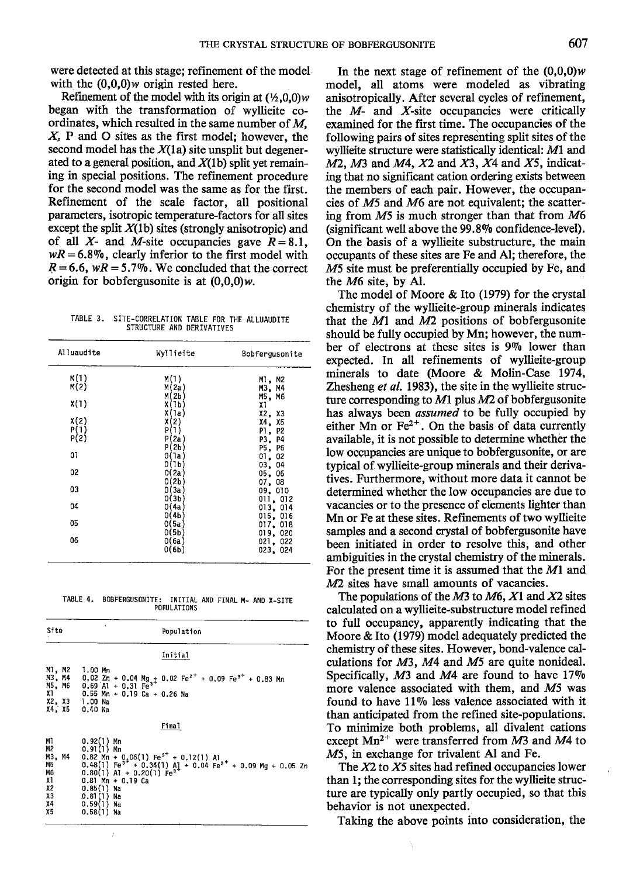were detected at this stage; refinement of the model with the  $(0,0,0)$ *w* origin rested here.

Refinement of the model with its origin at  $(\frac{1}{2},0,0)w$ began with the transformation of wyllieite coordinates, which resulted in the same number of  $M$ ,  $X$ , P and O sites as the first model; however, the second model has the  $X(1a)$  site unsplit but degenerated to a general position, and  $X(1b)$  split yet remaining in special positions. The refinement procedure for the second model was the same as for the firsr. Refinement of the scale factor, all positional parameters, isotropic temperature-factors for all sites except the split  $X(1b)$  sites (strongly anisotropic) and of all X- and M-site occupancies gave  $R=8.1$ ,  $wR = 6.8\%$ , clearly inferior to the first model with  $R = 6.6$ , wR = 5.7%. We concluded that the correct origin for bobfergusonite is at  $(0,0,0)$ *w*.

TABLE 3. SITE-CORRELATION TABLE FOR THE ALLUAUDITE STRUCTURE AND DERIVATIVES

| Alluaudite | Wyllieite      | Bobfergusonite       |  |  |
|------------|----------------|----------------------|--|--|
| M(1)       | M(1)           | M1.M2                |  |  |
| M(2)       | M(2a)          | M3, M4               |  |  |
| X(1)       | M(2b<br>Х(1Ь)  | M5, M6               |  |  |
|            | X(la)          | X1<br>X2, X3         |  |  |
| x(2)       | X(2)           | X4. X5               |  |  |
| P(1)       | P(1)           | P2<br>P1.            |  |  |
| P(2)       | P(2a)          | P4<br>P3,            |  |  |
|            | P(2b)          | P5,<br>P6            |  |  |
| 01         | 0(1a)<br>0(1b) | 01,<br>02<br>04      |  |  |
| 02         | 0(2a)          | 03,<br>05.<br>06     |  |  |
|            | O(2b)          | 07.<br>08            |  |  |
| 03         | 0(3a)          | 09, 010              |  |  |
|            | O(3b)          | 011, 012             |  |  |
| 04         | 0(4a)          | 013, 014             |  |  |
| 05         | 0(4b)<br>0(5a) | 015, 016<br>017, 018 |  |  |
|            | O(5b)          | 019,020              |  |  |
| 06         | 0(6a)          | 021, 022             |  |  |
|            | 0(6b)          | 023, 024             |  |  |

TABLE 4. BOBFERGUSONITE: INITIAL AND FINAL M- AND X-SITE POPULATIONS

| Site                                                         | k.<br>Population                                                                                                                                                                                                                                                                                                    |
|--------------------------------------------------------------|---------------------------------------------------------------------------------------------------------------------------------------------------------------------------------------------------------------------------------------------------------------------------------------------------------------------|
|                                                              | Initial                                                                                                                                                                                                                                                                                                             |
|                                                              | M1, M2 1.00 Mn<br>M3, M4 0.02 Zn + 0.04 Mg <sub>3</sub> + 0.02 Fe <sup>2+</sup> + 0.09 Fe <sup>3+</sup> + 0.83 Mn<br>M5, M6 0.69 A1 + 0.31 Fe <sup>3+</sup><br>$X1$ 0.55 Mn + 0.19 Ca + 0.26 Na<br>X2, X3 1.00 Na<br>X4, X5 0.40 Na                                                                                 |
|                                                              | Final                                                                                                                                                                                                                                                                                                               |
| MI<br>M2<br>M3, M4<br>M5<br>M6<br>X1<br>Х2<br>X3<br>χ4<br>χ5 | $0.92(1)$ Mn<br>$0.91(1)$ Mn<br>0.82 Mn + 0.06(1) Fe <sup>3+</sup> + 0.12(1) A1<br>0.48(1) Fe <sup>3+</sup> + 0.34(1) A <sub>1</sub> + 0.04 Fe <sup>2+</sup> + 0.09 Mg + 0.05 Zn<br>0.80(1) A1 + 0.20(1) Fe <sup>3+</sup><br>$0.81$ Mn + $0.19$ Ca<br>$0.85(1)$ Na<br>$0.81(1)$ Na<br>$0.59(1)$ Na<br>0,58(1)<br>Na |

In the next stage of refinement of the  $(0,0,0)$ *w* model, all atoms were modeled as vibrating anisotropically. After several cycles of refinement, the  $M$ - and  $X$ -site occupancies were critically examined for the first time. The occupancies of the following pairs of sites representing split sites of the wyllieite structure were statistically identical: Ml and  $M2$ ,  $M3$  and  $M4$ ,  $X2$  and  $X3$ ,  $X4$  and  $X5$ , indicating that no significant cation ordering exists between the members of each pair. However, the occupancies of M5 and M6 are not equivalent; the scattering from M5 is much stronger than that from M6 (significant well above the 99.890 confidence-level). On the basis of a wyllieite substructure, the main occupants of these sites are Fe and Al; therefore, the M5 site must be preferentially occupied by Fe, and the M6 site, by Al.

The model of Moore & Ito (1979) for the crystal chemistry of the wyllieite-group minerals indicates that the  $M1$  and  $M2$  positions of bobfergusonite should be fully occupied by Mn; however, the number of electrons at these sites is 990 lower than expected. In all refinements of wyllieite-group minerals to date (Moore & Molin-Case 1974, Zhesheng et al. 1983), the site in the wyllieite structure corresponding to  $M1$  plus  $M2$  of bobfergusonite has always been *assumed* to be fully occupied by either Mn or  $Fe^{2+}$ . On the basis of data currently available, it is not possible to determine whether the low occupancies are unique to bobfergusonite, or are typical of wyllieite-group minerals and their derivatives. Furthermore, without more data it cannot be determined whether the low occupancies are due to vacancies or to the presence of elements lighter than Mn or Fe at these sites. Refinements of two wyllieite samples and a second crystal of bobfergusonite have been initiated in order to resolve this, and other ambiguities in the crystal chemistry of the minerals. For the present time it is assumed that the M1 and  $M2$  sites have small amounts of vacancies.

The populations of the  $M3$  to  $M6$ ,  $X1$  and  $X2$  sites calculated on a wyllieite-substructure model refined to full occupancy, apparently indicating that the Moore & Ito (1979) model adequately predicted the chemistry of these sites. However, bond-valence calculations for M3, M4 and M5 are quite nonideal. Specifically,  $M3$  and  $M4$  are found to have 17% more valence associated with them, and M5 was found to have 11% less valence associated with it than anticipated from the refined site-populations. To minimize both problems, all divalent cations except  $Mn^{2+}$  were transferred from M3 and M4 to M5, in exchange for trivalent Al and Fe.

The  $X2$  to  $X5$  sites had refined occupancies lower than l; the corresponding sites for the wyllieite structure are typically only partly occupied, so that this behavior is not unexpected.

Taking the above points into consideration, the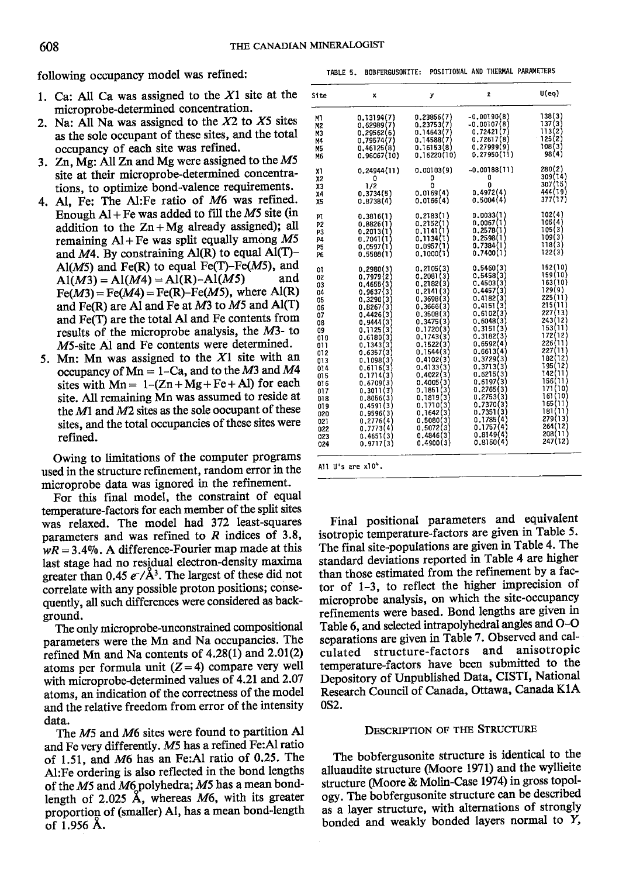following occupancy model was refined: TABLE 5. BOBFERGUSONITE: POSITIONAL AND THERMAL PARAMETERS

- 1. Ca: All Ca was assigned to the  $X1$  site at the microprobe-determined concentration.
- 2. Na: All Na was assigned to the  $X2$  to  $X5$  sites as the sole occupant of these sites, and the total occupancy of each site was refined.
- 3. Zn,  $Mg$ : All Zn and Mg were assigned to the  $M5$ site at their microprobe-determined concentrations, to optimize bond-valence requirements.
- Al, Fe: The Al:Fe ratio of M6 was refined. 4. Enough  $Al + Fe$  was added to fill the M5 site (in addition to the  $Zn+Mg$  already assigned); all remaining  $AI + Fe$  was split equally among M5 and  $M4$ . By constraining Al(R) to equal Al(T)- $A/(M5)$  and Fe(R) to equal Fe(T)-Fe(M5), and  $A/(M3) = A/(M4) = A/(R) - A/(M5)$  and  $\text{Al}(M3) = \text{Al}(M4) = \text{Al}(R) - \text{Al}(M5)$  $Fe(M3) = Fe(M4) = Fe(R) - Fe(M5)$ , where Al(R) and Fe(R) are Al and Fe at  $M3$  to  $M5$  and Al(T) and Fe(T) are the total Al and Fe contents from results of the microprobe analysis, the M3- to M5-site Al and Fe contents were determined.
- 5. Mn: Mn was assigned to the  $X1$  site with an occupancy of  $Mn = 1$ -Ca, and to the M3 and M4 sites with  $Mn = 1-(Zn+Mg+Fe+Al)$  for each site. All remaining Mn was assumed to reside at the  $M1$  and  $M2$  sites as the sole oocupant of these sites, and the total occupancies of these sites were refined.

Owing to limitations of the computer programs used in the structure refinement, random error in the microprobe data was ignored in the refinement.

For this final model, the constraint of equal temperature-factors for each member of the split sites was relaxed. The model had 372 least-squares parameters and was refined to  $R$  indices of 3.8,  $wR = 3.4\%$ . A difference-Fourier map made at this last stage had no residual electron-density maxima greater than 0.45  $e^{-}/\mathring{A}^3$ . The largest of these did not correlate wilh any possible proton positions; consequently, all such differences were considered as background.

The only microprobe-unconstrained compositional parameters were the Mn and Na occupancies. The refined Mn and Na contents of  $4.28(1)$  and  $2.01(2)$ atoms per formula unit  $(Z=4)$  compare very well with microprobe-determined values of 4.21 and 2.07 atoms, an indication of the correctness of the model and the relative freedom from error of the intensity data.

The M5 and M6 sites were found to partition Al and Fe very differently. M5 has a refined Fe:Al ratio of 1.51, and M6 has an Fe:Al ratio of 0.25. The Al:Fe ordering is also reflected in the bond lengths of the M5 and M6 polyhedra; M5 has a mean bondlength of 2.025 A, whereas M6, with its greater proportion of (smaller) Al, has a mean bond-length of 1.956 A.

All U's are x10<sup>4</sup>.

Final positional parameters and equivalent isotropic temperature-factors are given in Table 5. The final site-populations are given in Table 4. The standard deviations reported in Table 4 are higher than those estimated from the refinement by a factor of 1-3, to reflect the higher imprecision of microprobe analysis, on which the site-occupancy refinements were based. Bond lengths are given in Table 6, and selected intrapolyhedral angles and O-O separations are given in Table 7. Observed and calstructure-factors and anisotropic temperature-factors have been submitted to the Depository of Unpublished Data, CISTI, National Research Council of Canada, Ottawa, Canada K1A 0s2.

# DESCRIPTION OF THE STRUCTURE

The bobfergusonite structure is identical to the alluaudite structure (Moore l97l) and the wyllieite structure (Moore & Molin-Case 1974) in gross topology. The bobfergusonite structure can be described as a layer structure, with alternations of strongly bonded and weakly bonded layers normal to  $Y$ ,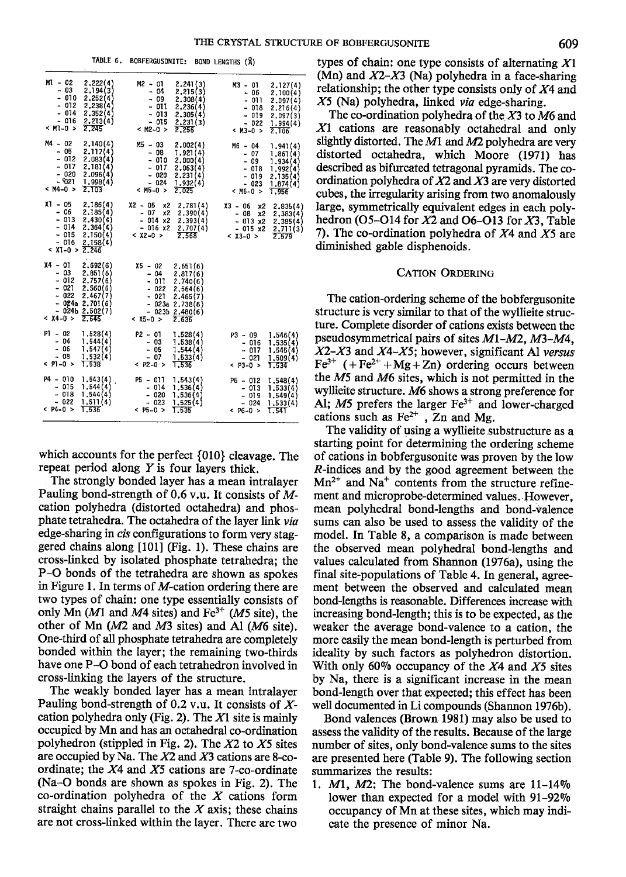|                                                                                 | TABLE 6.                                                                                                  | <b>BOBFERGUSONITE:</b><br>BOND LENGTHS (X)                                                                                                                                                                                                                                                                          |
|---------------------------------------------------------------------------------|-----------------------------------------------------------------------------------------------------------|---------------------------------------------------------------------------------------------------------------------------------------------------------------------------------------------------------------------------------------------------------------------------------------------------------------------|
| $MI - 02$<br>$-03$<br>$-010$<br>- 012<br>$-014$<br>$-016$<br>$< M1 - 0 >$       | 2.222(4)<br>2,194(3)<br>2,252(4)<br>2,238(4)<br>2,352(4)<br>2.213(4)<br>2.245                             | $M2 - 01$<br>2.241(3)<br>$M3 - 01$<br>2,127(4)<br>- 04<br>2.215(3)<br>- 06<br>2.100(4)<br>- 09<br>2,308(4)<br>$-011$<br>2,097(4)<br>- 011<br>2,236(4)<br>$-018$<br>2.216(4)<br>$-013$<br>2,305(4)<br>$-019$<br>2.097(3)<br>$-015$<br>2,231(3)<br>$-022$<br>1.994(4)<br>$<$ M2-0 ><br>2.256<br>$<$ M3-0 $>$<br>2.106 |
| $M4 - 02$<br>$-05$<br>$-012$<br>$-017$<br>$-020$<br>$-5021$<br>< M4-0 >         | 2.140(4)<br>2.117(4)<br>2,083(4)<br>2.181(4)<br>2.096(4)<br>1.998(4)<br>2.103                             | $M5 - 03$<br>2,002(4)<br>M6 - 04<br>1.941(4)<br>- 08<br>1.921(4)<br>$-07$<br>1.861(4)<br>- 010<br>2,000(4)<br>$-09$<br>1.934(4)<br>$-017$<br>2.063(4)<br>$-018$<br>1,992(4)<br>$-020$<br>2.231(4)<br>- 019<br>2.135(4)<br>$-024$<br>1.932(4)<br>- 023<br>1,874(4)<br>$<$ M5-0 $>$<br>2.025<br>$<$ M6-0 $>$<br>1.956 |
| $X1 - 05$<br>- 06<br>$-013$<br>$-014$<br>$-015$<br>$-016$<br>$< X1 - 0 > 2.246$ | 2.186(4)<br>2,185(4)<br>2,430(4)<br>2.364(4)<br>2,150(4)<br>2.158(4)                                      | $X2 - 05$<br>x2<br>2,781(4)<br>X3 - 06<br>x2<br>2,835(4)<br>$-07$<br>x2<br>2.390(4)<br>x <sub>2</sub><br>- 08<br>2,383(4)<br>$-014x2$<br>2,393(4)<br>$-013x2$<br>2,385(4)<br>$-016x2$<br>2,707(4)<br>$-015 \times 2$<br>2,711(3)<br>$< x2 - 0 >$<br>2.568<br>$<$ X3-0 $>$<br>2.579                                  |
| $X4 - 01$<br>- 03<br>$-012$<br>$-021$<br>$-022$<br>$< 14-0>$                    | 2.692(6)<br>2,851(6)<br>2,757(6)<br>2,560(6)<br>2,467(7)<br>$-024a 2.701(6)$<br>$-024b 2.502(7)$<br>2.646 | X5 – 02<br>2,651(6)<br>$-04$<br>2.817(6)<br>$-011$<br>2.740(6)<br>- 022<br>2,564(6)<br>$-021$<br>2.465(7)<br>$-023a 2.738(6)$<br>$-023b 2,480(6)$<br>$< 0.5 - 0.5$<br>2.636                                                                                                                                         |
| $P1 - 02$<br>- 04<br>- 06<br>$-08$<br>$<$ P1-0 $>$                              | 1,528(4)<br>1.544(4)<br>1,547(4)<br>1.532(4)<br>1.538                                                     | $P2 - 01$<br>1.528(4)<br>$P3 - 09$<br>1.546(4)<br>$-03$<br>1,538(4)<br>1,535(4)<br>$-016$<br>$-05$<br>1.544(4)<br>$-017$<br>1.545(4)<br>$-07$<br>1,533(4)<br>$-021$<br>1,509(4)<br>$<$ P2-0 ><br>1,536<br>$< P3 - 0 >$<br>1.534                                                                                     |
| P4 - 010<br>$-015$<br>$-018$<br>- 022<br>$<$ P4-0 >                             | 1.543(4)<br>1.544(4)<br>1.544(4)<br>1,511(4)<br>1.536                                                     | P5 - 011<br>1.543(4)<br>$P6 - 012$<br>1,548(4)<br>$-014$<br>1.536(4)<br>$-013$<br>1,533(4)<br>- 020<br>1,536(4)<br>$-019$<br>1.549(4)<br>$-023$<br>1.525(4)<br>$-024$<br>1.533(4)<br>$&$ P5-0 ><br>1.535<br>$<$ P6-0 ><br>1.541                                                                                     |

which accounts for the perfect {010} cleavage. The repeat period along  $Y$  is four layers thick.

The strongly bonded layer has a mean intralayer Pauling bond-strength of 0.6 v.u. It consists of Mcation polyhedra (distorted octahedra) and phosphate tetrahedra. The octahedra of the layer link via edge-sharing in *cis* configurations to form very staggered chains along  $[101]$  (Fig. 1). These chains are cross-linked by isolated phosphate tetrahedra; the P-O bonds of the tetrahedra are shown as spokes in Figure l. In terms of M-cation ordering there are 1wo types of chain: one type essentially consists of only Mn (M1 and M4 sites) and  $Fe^{3+}$  (M5 site), the other of Mn (M2 and M3 sites) and Al (M6 site). One-third of all phosphate tetrahedra are completely bonded within the layer; the remaining two-thirds have one P-O bond of each tetrahedron involved in cross-linking the layers of the structure.

The weakly bonded layer has a mean intralayer Pauling bond-strength of 0.2 v.u. It consists of  $X$ cation polyhedra only (Fig. 2). The  $X1$  site is mainly occupied by Mn and has an octahedral co-ordination polyhedron (stippled in Fig. 2). The  $X2$  to  $X5$  sites are occupied by Na. The  $X2$  and  $X3$  cations are 8-coordinate; the  $X4$  and  $X5$  cations are 7-co-ordinate (Na-O bonds are shown as spokes in Fig. 2). The co-ordination polyhedra of the  $X$  cations form straight chains parallel to the  $X$  axis; these chains are not cross-linked within the layer. There are two

types of chain: one type consists of alternating  $X1$ (Mn) and  $X2-X3$  (Na) polyhedra in a face-sharing relationship; the other type consists only of  $X<sup>4</sup>$  and X5 (Na) polyhedra, linked *via* edge-sharing.

The co-ordination polyhedra of the X3 to M6 and X<sub>1</sub> cations are reasonably octahedral and only slightly distorted. The  $M1$  and  $M2$  polyhedra are very distorted octahedra, which Moore (1971) has described as bifurcated tetragonal pyramids. The coordination polyhedra of  $X2$  and  $X3$  are very distorted cube, the irregularity arising from two anomalously large, symmetrically equivalent edges in each polyhedron (O5-O14 for  $X2$  and O6-O13 for  $X3$ , Table 7). The co-ordination polyhedra of  $X4$  and  $X5$  are diminished gable disphenoids.

# **CATION ORDERING**

The cation-ordering scheme of the bobfergusonite structure is very similar to that of the wyllieite structure. Complete disorder of cations exists between the pseudosymmetrical pairs of sites Ml-M2, M3-M4,  $X2-X3$  and  $X4-X5$ ; however, significant Al versus  $Fe^{3+}$  (+Fe<sup>2+</sup> +Mg + Zn) ordering occurs between the M5 and M6 sites, which is not permitted in the wyllieite structure, M6 shows a strong preference for Al;  $M5$  prefers the larger  $Fe^{3+}$  and lower-charged cations such as  $Fe^{2+}$ , Zn and Mg.

The validity of using a wyllieite substructure as a starting point for determining the ordering scheme of cations in bobfergusonite was proven by the low R-indices and by the good agreement between the  $Mn^{2+}$  and Na<sup>+</sup> contents from the structure refinement and microprobe-determined values. However, mean polyhedral bond-lengths and bond-valence sums can also be used to assess the validity of the model. In Table 8, a comparison is made between the observed mean polyhedral bond-lengths and values calculated from Shannon (1976a), using the final site-populations of Table 4. In general, agreement between the observed and calculated mean bond-lengths is reasonable. Differences increase with increasing bond-length; this is to be expected, as the weaker the average bond-valence to a cation, the more easily the mean bond-length is perturbed from ideality by such factors as polyhedron distortion. With only 60% occupancy of the  $X4$  and  $X5$  sites by Na, there is a significant increase in the mean bond-length over that expected; this effect has been well documented in Li compounds (Shannon 1976b).

Bond valences (Brown 1981) may also be used to assess the validity of the results. Because of the large number of sites, only bond-valence sums to the sites are presented here (Table 9). The following section summarizes the results:

1.  $M1$ ,  $M2$ : The bond-valence sums are  $11-14\%$ lower than expected for a model with  $91-92\%$ occupancy of Mn at these sites, which may indicate the presence of minor Na.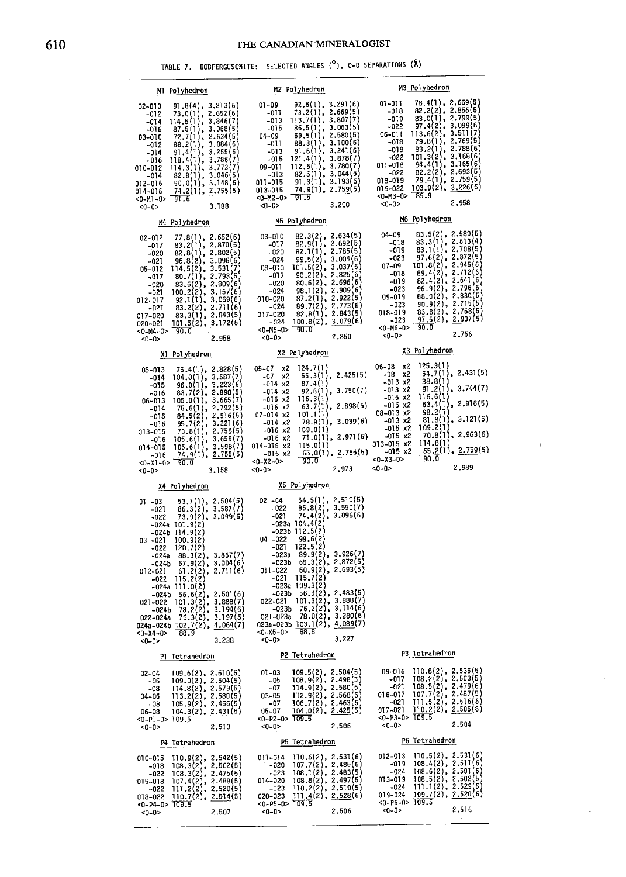| Ml Polyhedron                                                                                                                                                                                                                                                                                                                                                                                                                                                                                                                                | M2 Polyhedron                                                                                                                                                                                                                                                                                                                                                                                                                                                                                                            | M3 Polyhedron                                                                                                                                                                                                                                                                                                                                                                                                                                                                                 |
|----------------------------------------------------------------------------------------------------------------------------------------------------------------------------------------------------------------------------------------------------------------------------------------------------------------------------------------------------------------------------------------------------------------------------------------------------------------------------------------------------------------------------------------------|--------------------------------------------------------------------------------------------------------------------------------------------------------------------------------------------------------------------------------------------------------------------------------------------------------------------------------------------------------------------------------------------------------------------------------------------------------------------------------------------------------------------------|-----------------------------------------------------------------------------------------------------------------------------------------------------------------------------------------------------------------------------------------------------------------------------------------------------------------------------------------------------------------------------------------------------------------------------------------------------------------------------------------------|
| 02-010<br>$91.8(4)$ , 3.213(6)<br>73.0(1), 2.652(6)<br>$-012$<br>114.5(1), 3.846(7)<br>$-014$<br>$14*2(1), 3.068(5)$<br>$72.7(1), 2.634(5)$<br>$72.7(1), 2.634(6)$<br>$99.4(1), 3.255(6)$<br>$91.4(1), 3.786(7)$<br>$114.3(1), 3.78(7)$<br>$82.8(1), 3.046(5)$<br>$90.011, 3.046(5)$<br>$74.2(1), 2.755(5)$<br>$-016$<br>03-010<br>$-012$<br>$-014$<br>-016<br>010-012<br>-014<br>012-016<br>74.2(1), 2.755(5)<br>014-016<br>$<$ 0-M1-0> $\overline{91.6}$<br>3.188<br>$<0-0>$                                                               | $92,6(1), 3.291(6)$<br>73.2(1), 2.669(5)<br>$01 - 09$<br>-011<br>$113.7(1), 3.807(7)$<br>86.5(1), 3.063(5)<br>$-013$<br>$-015$<br>69.5(1), 2.580(5)<br>04-09<br>88.3(1), 3.100(6)<br>$-011$<br>91.6(1), 3.241(6)<br>$-013$<br>121.4(1), 3.878(7)<br>$-015$<br>112.6(1), 3.780(7)<br>09-011<br>82.5(1), 3.044(5)<br>$-013$<br>91.3(1), 3.193(6)<br>011-015<br>74.9(1), 2.759(5)<br>013-015<br>$<0-M2-0>$ 91.5<br>3,200<br>$<0-0$ >                                                                                        | 78.4(1), 2.669(5)<br>$01 - 011$<br>82.2(2), 2.856(5)<br>$-018$<br>83.0(1), 2.799(5)<br>$-019$<br>97.4(2), 3.099(6)<br>$-022$<br>$113.6(2), 3.511(7)$<br>79.8(1), 2.769(5)<br>06-011<br>$-018$<br>$\begin{array}{c} \n 73.2(1), 2.788(6) \\  101.3(2), 3.168(6) \\  94.4(1), 3.165(6) \\  82.2(2), 2.693(5) \\  79.4(1), 2.759(5) \\  79.4(2), 2.759(5)\n \end{array}$<br>$-019$<br>$-022$<br>011-018<br>$-022$<br>018-019<br>019-022 103.9(2), 3.226(6)<br><0-M3-0> 89.9<br>2,958<br>$<0 - 0$ |
| M4 Polyhedron                                                                                                                                                                                                                                                                                                                                                                                                                                                                                                                                | M5 Polyhedron                                                                                                                                                                                                                                                                                                                                                                                                                                                                                                            | M6 Polyhedron                                                                                                                                                                                                                                                                                                                                                                                                                                                                                 |
| 77.8(1), 2.652(6)<br>02-012<br>83.2(1), 2.870(5)<br>-017<br>82.8(1), 2.802(5)<br>-020<br>96.8(2), 3.096(6)<br>-021<br>114.5(2), 3.531(7)<br>05-012<br>80.7(1), 2.793(5)<br>-017<br>$83.6(2), 2.809(6)$<br>100.2(2), 3.157(6)<br>-020<br>-021<br>92.1(1), 3.069(6)<br>012-017<br>$83.2(2), 2.711(6)$<br>$83.3(1), 2.843(5)$<br>$101.5(2), 3.172(6)$<br>$-021$<br>017-020<br>020-021<br>$<0-M4-0>$ 90.0<br>2,958<br>$<0-0>$                                                                                                                    | $82.3(2), 2.634(5)$<br>$82.9(1), 2.692(5)$<br>03-010<br>$-017$<br>82.1(1), 2.785(5)<br>$-020$<br>$\begin{array}{cccc} -0.20 & 82.1(1), & 2.78(5) \\ -0.24 & 99.5(2), & 3.004(6) \\ 0.8-010 & 101.5(2), & 3.037(6) \\ -0.017 & 90.2(2), & 2.826(6) \\ -0.20 & 80.1(2), & 2.990(6) \\ -0.24 & 93.1(2), & 2.992(6) \\ -0.24 & 89.7(2), & 2.773(6) \\ 0.17-0.20 & 82.8(1), & 2.843(5) \\ 0.1$<br>2,850<br>$<0-0>$                                                                                                            | $83.5(2)$ , $2.580(5)$<br>04-09<br>83.3(1), 2.613(4)<br>$-018$<br>83.1(1), 2.708(5)<br>$-019$<br>97.6(2), 2.872(5)<br>$-023$<br>$101.8(2)$ , 2.945(6)<br>89.4(2), 2.712(6)<br>82.4(2), 2.641(6)<br>$07 - 09$<br>$-018$<br>-019<br>$96.9(2)$ , 2.796 $(6)$<br>$-023$<br>$88.0(2)$ , $2.830(5)$<br>09-019<br>$90.9(2), 2.715(5)$<br>$83.8(2), 2.758(5)$<br>$97.5(2), 2.907(5)$<br>$-023$<br>018-019<br>$-023$<br>$<0-M6-0> 90.0$<br>2,756<br>$<0-0$                                             |
| X1 Polyhedron                                                                                                                                                                                                                                                                                                                                                                                                                                                                                                                                | X2 Polyhedron                                                                                                                                                                                                                                                                                                                                                                                                                                                                                                            | X3 Polyhedron                                                                                                                                                                                                                                                                                                                                                                                                                                                                                 |
| $75.4(1), 2.828(5)$<br>104.0(1), 3.587(7)<br>05-013<br>$-014$<br>96.0(1), 3.223(6)<br>$-015$<br>$83.7(2)$ , $2.898(5)$<br>-016<br>105.0(1), 3.665(7)<br>06-013<br>75.6(1), 2.792(5)<br>$-014$<br>$84.5(2)$ , 2.916(5)<br>$-015$<br>95.7(2), 3.221(6)<br>-016<br>$73.8(1)$ , $2.759(5)$<br>013-015<br>105.6(1), 3.659(7)<br>$-016$<br>105.6(1), 3.598(7)<br>014-015<br>74.9(1), 2.755(5)<br>-016<br>$< 0.05$ $< 0.11$<br>3.158<br><0-0>                                                                                                       | $05 - 07$ x2<br>124.7(1)<br>55.3(1), 2.425(5)<br>$-07$ $\times$ 2<br>87.4(1)<br>$-014$ $x2$<br>92.6(1), 3.750(7)<br>$-014$ x2<br>116.3(1)<br>$-016$ x2<br>63.7(1), 2.898(5)<br>$-016$ $x2$<br>07-014 x2<br>101.1(1)<br>78.9(1), 3.039(6)<br>$-014 x2$<br>109.0(1)<br>$-016 \times 2$<br>71.0(1), 2.971(6)<br>$-016 x2$<br>014-016 x2<br>115.0(1)<br>65.0(1), 2.755(5)<br>$-016 \times 2$<br>$<0-X2-0>$<br>90.0<br>2.973<br>$<0-0$                                                                                        | $06-08$ $\times 2$<br>-08 $\times 2$<br>$125.3(1)$<br>54.7(1), 2.431(5)<br>88.8(1)<br>$-013 \times 2$<br>91.2(1), 3.744(7)<br>$-013 \times 2$<br>$-015 \times 2$<br>116.6(1)<br>$63.4(1)$ , 2.916(5)<br>$-015$ $x2$<br>98.2(1)<br>$08 - 013$ x2<br>81.8(1), 3.121(6)<br>$-013 \times 2$<br>$-015 x2$<br>109.2(1)<br>70.8(1), 2.963(6)<br>$-015 x2$<br>013-015 x2<br>114.8(1)<br>$\underline{65.2(1)}, \underline{2.759(5)}$<br>$-015 \times 2$<br>90.0<br>$<0 - X3 - 0$<br>2,989<br>$<0-0>$   |
| X4 Polyhedron                                                                                                                                                                                                                                                                                                                                                                                                                                                                                                                                | X5 Polyhedron                                                                                                                                                                                                                                                                                                                                                                                                                                                                                                            |                                                                                                                                                                                                                                                                                                                                                                                                                                                                                               |
| $53.7(1), 2.504(5)$<br>$86.3(2), 3.587(7)$<br>01 -03<br>-021<br>$73.9(2)$ , $3.099(6)$<br>$-022$<br>$-024a$ 101.9(2)<br>-024b 114.9(2)<br>03 -021<br>100.9(2)<br>120.7(2)<br>$-022$<br>$-024a$ 88.3(2), 3.867(7)<br>$-024b$ 67.9(2), 3.004(6)<br>$-021$ 61.2(2), 2.711(6)<br>$-022$ 115.2(2)<br>012-021<br>$-024a$ $111.0(2)$<br>$-024b$ 56.6(2), 2.501(6)<br>$021 - 022$ 101.3(2), 3.888(7)<br>$78.2(2)$ , 3.194(6)<br>-024b<br>76.3(2), 3.197(6)<br>022-024a<br>024a-024b 102.7(2), 4.064(7)<br>88.9<br>$-0 - x4 - 0$<br>3.238<br>$<0 - 0$ | 54.5(1), 2.510(5)<br>$02 - 04$<br>$-022$ 85.8(2), 3.550(7)<br>$-021$ 74.4(2), 3.096(6)<br>$-023a$ 104.4(2)<br>-023b 112.5(2)<br>$04 - 022$<br>99.6(2)<br>122.5(2)<br>$-021$<br>$-023a$ 89.9(2), 3.926(7)<br>$-023b$ 65.3(2), 2.872(5)<br>$60.9(2)$ , 2.693(5)<br>011-022<br>115.7(2)<br>$-021$<br>$-023a$ $109.3(2)$<br>$-023b$ 56.5(2), 2.483(5)<br>022-021 101.3(2), 3.888(7)<br>$-023b$ 76.2(2), 3.114(6)<br>$021 - 023a$ 78.0(2), 3.280(6)<br>023a-023b $103.1(2)$ , 4,089(7)<br>$<0-X5-0> 88.8$<br>$<0-0>$<br>3,227 | P3 Tetrahedron                                                                                                                                                                                                                                                                                                                                                                                                                                                                                |
| P1 Tetrahedron                                                                                                                                                                                                                                                                                                                                                                                                                                                                                                                               | P2 Tetrahedron                                                                                                                                                                                                                                                                                                                                                                                                                                                                                                           |                                                                                                                                                                                                                                                                                                                                                                                                                                                                                               |
| $02-04$ 109.6(2), 2.510(5)<br>109.0(2), 2.504(5)<br>$-06$<br>$114.8(2)$ , 2.579(5)<br>-08<br>113.2(2), 2.580(5)<br>$04 - 06$<br>$105.9(2)$ , 2.456(5)<br>$104.3(2)$ , 2.431(5)<br>-08<br>$06 - 08$<br><0-P1-0> 109.5<br>2,510<br>$<0 - 0$                                                                                                                                                                                                                                                                                                    | $01-03$ $109.5(2)$ , 2.504(5)<br>$108.9(2)$ , 2.498(5)<br>-05<br>$114.9(2)$ , $2.580(5)$<br>$-07$<br>112.9(2), 2.568(5)<br>106.7(2), 2.463(6)<br>104.0(2), 2.425(5)<br>$03 - 05$<br>$-07$<br>$05 - 07$<br>$<0 - P2 - 0$ 709.5<br>$<0-0>$<br>2,506                                                                                                                                                                                                                                                                        | $09-016$ 110.8(2), 2.536(5)<br>$108.2(2), 2.503(5)$<br>$108.5(2), 2.479(6)$<br>$107.7(2), 2.487(5)$<br>$111.5(2), 2.516(6)$<br>$110.2(2), 2.505(6)$<br>-017<br>-021<br>016-017<br>-021<br>017-021<br>$<0-12-0>$ 109.5<br>2.504<br>$<0-0>$                                                                                                                                                                                                                                                     |
| P4 Tetrahedron                                                                                                                                                                                                                                                                                                                                                                                                                                                                                                                               | P5 Tetrahedron                                                                                                                                                                                                                                                                                                                                                                                                                                                                                                           | P6 Tetrahedron                                                                                                                                                                                                                                                                                                                                                                                                                                                                                |
| $\begin{array}{l} 110.9(2),\ 2.542(5) \\ 108.3(2),\ 2.502(5) \\ 108.3(2),\ 2.475(5) \\ 107.4(2),\ 2.488(5) \\ 111.2(2),\ 2.520(5) \\ 110.7(2),\ 2.514(5) \end{array}$<br>010-015<br>$-018$<br>$-022$<br>015-018<br>-022<br>018-022<br>$<0 - P4 - 0 > 109.5$<br>$<0 - 0$<br>2,507                                                                                                                                                                                                                                                             | 110.6(2), 2.53(6)<br>011-014<br>107.7(2), 2.485(6)<br>-020<br>108.1(2), 2.483(5)<br>-023<br>$108.8(2), 2.497(5)$<br>110.2(2), 2.510(5)<br>111.4(2), 2.528(6)<br>014-020<br>$-023$<br>020-023<br>$<0-$ P5-0> 109.5<br>$<0 - 0$<br>2,506                                                                                                                                                                                                                                                                                   | $110.5(2)$ , $2.531(6)$<br>012-013<br>108.4(2), 2.511(6)<br>-019<br>$108.6(2)$ , 2.501 $(6)$<br>$-024$<br>108.5(2), 2.502(5)<br>013-019<br>111.1(2), 2.529(5)<br>-024<br>109.7(2), 2.520(6)<br>019-024<br>$<0 - P6 - 0$ 109.5<br>2,516<br>$-0-0$                                                                                                                                                                                                                                              |

 $\bar{\rm t}$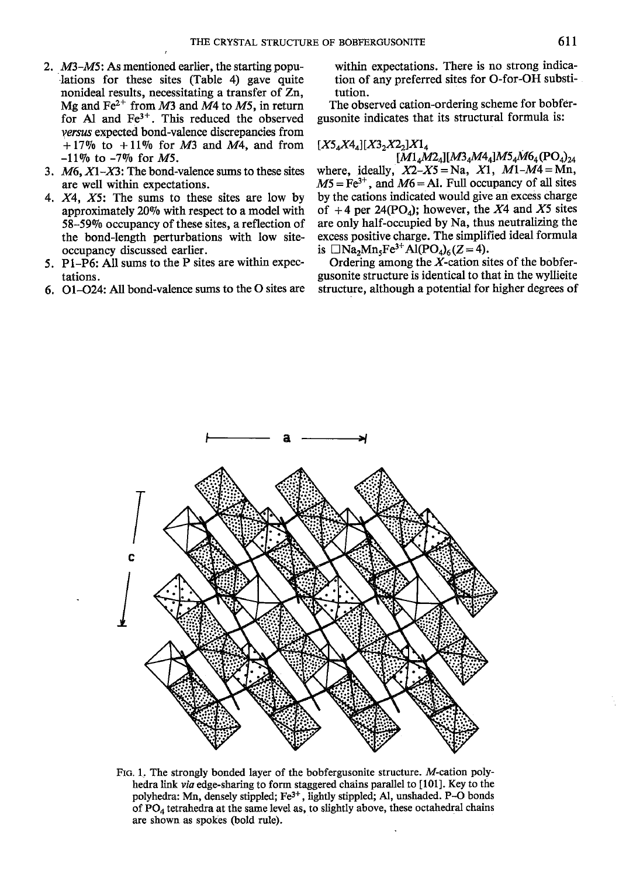- M3-M5: As mentioned earlier, the starting populations for these sites (Table 4) gave quite nonideal results, necessitating a transfer of Zn, Mg and  $Fe^{2+}$  from M3 and M4 to M5, in return for Al and Fe3\*. This reduced the observed versus expected bond-valence discrepancies from  $+17\%$  to  $+11\%$  for M3 and M4, and from  $-11\%$  to  $-7\%$  for M5.
- 3.  $M6$ ,  $X1-X3$ : The bond-valence sums to these sites are well within expectations.
- 4. X4, X5: The sums to these sites are low by approximately 2090 with respect to a model with 58-5990 occupancy of these sites, a reflection of the bond-length perturbations with low siteoccupancy discussed earlier.
- ) . P1-P6: All sums to the P sites are within expectations.
- 6. O1-O24: All bond-valence sums to the O sites are

within expectations. There is no strong indication of any preferred sites for O-for-OH substitution.

The observed cation-ordering scheme for bobfergusonite indicates that its structural formula is:

# $[X5_4X4_4][X3_2X2_2]X1_4$

 $[M1_4M2_4][M3_4M4_4]M5_4M6_4(PO_4)_{24}$ where, ideally,  $X2-X5=Na$ ,  $X1$ ,  $M1-M4=Mn$ ,  $M5 = Fe^{3+}$ , and  $M6 = Al$ . Full occupancy of all sites by the cations indicated would give an excess charge of +4 per 24(PO<sub>4</sub>); however, the X4 and X5 sites are only half-occupied by Na, thus neutralizing the excess positive charge. The simplified ideal formula is  $\Box$ Na<sub>2</sub>Mn<sub>5</sub>Fe<sup>3+</sup>Al(PO<sub>4</sub>)<sub>6</sub>(Z = 4).

Ordering among the  $X$ -cation sites of the bobfergusonite structure is identical to that in the wyllieite structure, although a potential for higher degrees of



FIo. l. The strongly bonded layer of the bobfergusonite structure. M-cation polyhedra link via edge-sharing to form staggered chains parallel to [101]. Key to the polyhedra: Mn, densely stippled; Fe<sup>3+</sup>, lightly stippled; Al, unshaded. P-O bonds of  $PO<sub>4</sub>$  tetrahedra at the same level as, to slightly above, these octahedral chains are shown as spokes (bold rule).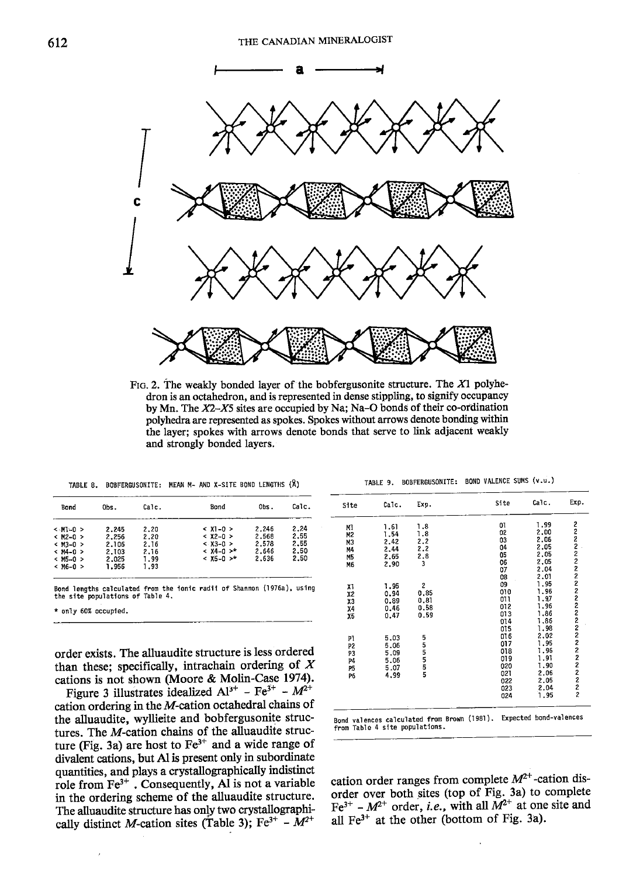

FIG. 2. The weakly bonded layer of the bobfergusonite structure. The  $X1$  polyhedron is an octahedron, and is represented in dense stippling, to signify occupancy by Mn. The  $X2-X5$  sites are occupied by Na; Na-O bonds of their co-ordination polyhedra are represented as spokes. Spokes without arrows denote bonding within the layer; spokes with arrows denote bonds that serve to link adjacent weakly and strongly bonded layers,

| TABLE 8. |  | BOBFERGUSONITE: MEAN M- AND X-SITE BOND LENGTHS (A) |  |  |  | TABLE 9. BOBFERGUSONITE: BOND VALENCE SUMS (v.u.) |
|----------|--|-----------------------------------------------------|--|--|--|---------------------------------------------------|
|----------|--|-----------------------------------------------------|--|--|--|---------------------------------------------------|

| Bond                                                                                         | Obs.                                               | Calc.                                        | Bond                                                                             | Obs.                                      | Calc.                                |
|----------------------------------------------------------------------------------------------|----------------------------------------------------|----------------------------------------------|----------------------------------------------------------------------------------|-------------------------------------------|--------------------------------------|
| $<$ M1-0 $>$<br>$< M2 - 0 >$<br>$<$ M3-0 $>$<br>$< M4 - 0 >$<br>$<$ M5-0 $>$<br>$<$ M6-0 $>$ | 2.245<br>2.256<br>2.106<br>2.103<br>2.025<br>1.956 | 2.20<br>2.20<br>2.16<br>2.16<br>1.99<br>1.93 | $& 1 - 0 >$<br>$& 12 - 0 >$<br>$& 1.3 - 0 >$<br>$<$ X4-0 $>$ *<br>$& 15 - 0 >$ * | 2.246<br>2.568<br>2.578<br>2.646<br>2.636 | 2.24<br>2.55<br>2.55<br>2.50<br>2.50 |

only 60% occupied.

Figure 3 illustrates idealized  $Al^{3+}$  - Fe<sup>3+</sup> -  $M^{2+}$ cation ordering in the M-cation octahedral chains of the alluaudite, wyllieite and bobfergusonite structures. The M-cation chains of the alluaudite structure (Fig. 3a) are host to  $Fe<sup>3+</sup>$  and a wide range of divalent cations, but Al is present only in subordinate quantities, and plays a crystallographically indistinct role from  $Fe<sup>3+</sup>$ . Consequently, Al is not a variable in the ordering scheme of the alluaudite structure. The alluaudite structure has only two crystallographically distinct M-cation sites (Table 3); Fe<sup>3+</sup> -  $M^{2+}$ 

| TABLE 9. | BOBFERGUSONITE: |  | BOND VALENCE SUMS (v.u.) |  |  |  |
|----------|-----------------|--|--------------------------|--|--|--|
|----------|-----------------|--|--------------------------|--|--|--|

| Obs. | Calc.                                                                    | Bond                                                                   | Obs.                                           | Calc.                                     | Site                                                                                                                                                                                                                                                                                                                                     | Calc.                                                                                                                       | Exp.                                                                                         | Site                                                                     | Calc.                                                                                                                             | Exp.                                                                                                                                                         |
|------|--------------------------------------------------------------------------|------------------------------------------------------------------------|------------------------------------------------|-------------------------------------------|------------------------------------------------------------------------------------------------------------------------------------------------------------------------------------------------------------------------------------------------------------------------------------------------------------------------------------------|-----------------------------------------------------------------------------------------------------------------------------|----------------------------------------------------------------------------------------------|--------------------------------------------------------------------------|-----------------------------------------------------------------------------------------------------------------------------------|--------------------------------------------------------------------------------------------------------------------------------------------------------------|
|      |                                                                          |                                                                        |                                                |                                           | МĪ                                                                                                                                                                                                                                                                                                                                       | 1.61                                                                                                                        | 1,8                                                                                          | 01                                                                       | 1.99                                                                                                                              | 2                                                                                                                                                            |
|      |                                                                          |                                                                        |                                                |                                           | M2                                                                                                                                                                                                                                                                                                                                       | 1.54                                                                                                                        |                                                                                              |                                                                          |                                                                                                                                   |                                                                                                                                                              |
|      |                                                                          |                                                                        |                                                |                                           | M3                                                                                                                                                                                                                                                                                                                                       |                                                                                                                             |                                                                                              |                                                                          |                                                                                                                                   | 2                                                                                                                                                            |
|      |                                                                          | $<$ X4-0 $>$ *                                                         |                                                | 2.50                                      | M4                                                                                                                                                                                                                                                                                                                                       |                                                                                                                             |                                                                                              |                                                                          |                                                                                                                                   | $\overline{c}$                                                                                                                                               |
|      |                                                                          | $<$ X5-0 $>$ *                                                         |                                                | 2.50                                      |                                                                                                                                                                                                                                                                                                                                          |                                                                                                                             |                                                                                              |                                                                          |                                                                                                                                   |                                                                                                                                                              |
|      | 1.93                                                                     |                                                                        |                                                |                                           |                                                                                                                                                                                                                                                                                                                                          |                                                                                                                             |                                                                                              |                                                                          |                                                                                                                                   |                                                                                                                                                              |
|      |                                                                          |                                                                        |                                                |                                           |                                                                                                                                                                                                                                                                                                                                          |                                                                                                                             |                                                                                              |                                                                          |                                                                                                                                   |                                                                                                                                                              |
|      |                                                                          |                                                                        |                                                |                                           |                                                                                                                                                                                                                                                                                                                                          |                                                                                                                             |                                                                                              |                                                                          |                                                                                                                                   |                                                                                                                                                              |
|      |                                                                          |                                                                        |                                                |                                           |                                                                                                                                                                                                                                                                                                                                          |                                                                                                                             |                                                                                              |                                                                          |                                                                                                                                   |                                                                                                                                                              |
|      |                                                                          |                                                                        |                                                |                                           |                                                                                                                                                                                                                                                                                                                                          |                                                                                                                             |                                                                                              |                                                                          |                                                                                                                                   |                                                                                                                                                              |
|      |                                                                          |                                                                        |                                                |                                           |                                                                                                                                                                                                                                                                                                                                          |                                                                                                                             |                                                                                              |                                                                          |                                                                                                                                   |                                                                                                                                                              |
|      |                                                                          |                                                                        |                                                |                                           |                                                                                                                                                                                                                                                                                                                                          |                                                                                                                             |                                                                                              |                                                                          |                                                                                                                                   |                                                                                                                                                              |
|      |                                                                          |                                                                        |                                                |                                           |                                                                                                                                                                                                                                                                                                                                          |                                                                                                                             |                                                                                              |                                                                          | 1.86                                                                                                                              |                                                                                                                                                              |
|      |                                                                          |                                                                        |                                                |                                           |                                                                                                                                                                                                                                                                                                                                          |                                                                                                                             |                                                                                              | 015                                                                      | 1.98                                                                                                                              | 2                                                                                                                                                            |
|      |                                                                          |                                                                        |                                                |                                           |                                                                                                                                                                                                                                                                                                                                          |                                                                                                                             |                                                                                              | 016                                                                      | 2.02                                                                                                                              |                                                                                                                                                              |
|      |                                                                          |                                                                        |                                                |                                           |                                                                                                                                                                                                                                                                                                                                          |                                                                                                                             |                                                                                              | 017                                                                      |                                                                                                                                   |                                                                                                                                                              |
|      |                                                                          |                                                                        |                                                |                                           |                                                                                                                                                                                                                                                                                                                                          |                                                                                                                             |                                                                                              |                                                                          |                                                                                                                                   |                                                                                                                                                              |
|      |                                                                          |                                                                        |                                                |                                           |                                                                                                                                                                                                                                                                                                                                          | 5.06                                                                                                                        |                                                                                              |                                                                          |                                                                                                                                   |                                                                                                                                                              |
|      |                                                                          |                                                                        |                                                |                                           | P <sub>5</sub>                                                                                                                                                                                                                                                                                                                           | 5.07                                                                                                                        |                                                                                              |                                                                          |                                                                                                                                   |                                                                                                                                                              |
|      |                                                                          |                                                                        |                                                |                                           | P6                                                                                                                                                                                                                                                                                                                                       | 4.99                                                                                                                        |                                                                                              |                                                                          |                                                                                                                                   |                                                                                                                                                              |
|      |                                                                          |                                                                        |                                                |                                           |                                                                                                                                                                                                                                                                                                                                          |                                                                                                                             |                                                                                              |                                                                          |                                                                                                                                   |                                                                                                                                                              |
|      |                                                                          |                                                                        |                                                |                                           |                                                                                                                                                                                                                                                                                                                                          |                                                                                                                             |                                                                                              |                                                                          |                                                                                                                                   |                                                                                                                                                              |
|      |                                                                          |                                                                        |                                                |                                           |                                                                                                                                                                                                                                                                                                                                          |                                                                                                                             |                                                                                              |                                                                          |                                                                                                                                   |                                                                                                                                                              |
|      |                                                                          |                                                                        |                                                |                                           |                                                                                                                                                                                                                                                                                                                                          |                                                                                                                             |                                                                                              |                                                                          |                                                                                                                                   |                                                                                                                                                              |
|      | 2.245<br>2.256<br>2.106<br>2.103<br>2.025<br>1,956<br>only 60% occupied. | 2.20<br>2.20<br>2.16<br>2.16<br>1.99<br>e site populations of Table 4. | $< 11 - 0 >$<br>$& 12 - 0 >$<br>$& x3 - 0 > 0$ | 2.246<br>2.568<br>2,578<br>2,646<br>2.636 | 2.24<br>2,55<br>2,55<br>nd lengths calculated from the ionic radii of Shannon (1976a), using<br>rder exists. The alluaudite structure is less ordered<br>ian these; specifically, intrachain ordering of $X$<br>ations is not shown (Moore & Molin-Case 1974).<br>Figure 3 illustrates idealized $Al^{3+}$ – Fe <sup>3+</sup> – $M^{2+}$ | M5<br>M6<br>X1<br>X2<br>$x_3$<br>X4<br>Х5<br>P٦<br>P2<br>P3<br>P4<br>ation ordering in the $M$ -cation octahedral chains of | 2.42<br>2.44<br>2.65<br>2,90<br>1.95<br>0.94<br>0.89<br>0.46<br>0.47<br>5.03<br>5.06<br>5.09 | 1.8<br>2.2<br>2,2<br>2.8<br>$\mathbf{z}$<br>0.85<br>0.81<br>0.58<br>0.59 | 02<br>03<br>04<br>05<br>06<br>07<br>08<br>09<br>010<br>01 l<br>012<br>013<br>014<br>018<br>019<br>020<br>021<br>022<br>023<br>024 | 2,00<br>2.06<br>2.05<br>2.05<br>2,05<br>2.04<br>2.01<br>1.95<br>1.96<br>1.97<br>1.96<br>1,86<br>1.95<br>1.96<br>1.91<br>1.90<br>2.06<br>2.05<br>2.04<br>1.95 |

Bond valences calculated from Brown (1981). Expected bond-valences<br>from Table 4 site populations.

cation order ranges from complete  $M^{2+}$ -cation disorder over both sites (top of Fig. 3a) to complete  $Fe^{3+}$  –  $M^{2+}$  order, *i.e.*, with all  $M^{2+}$  at one site and all Fe3\* at the other (bottom of Fig. 3a).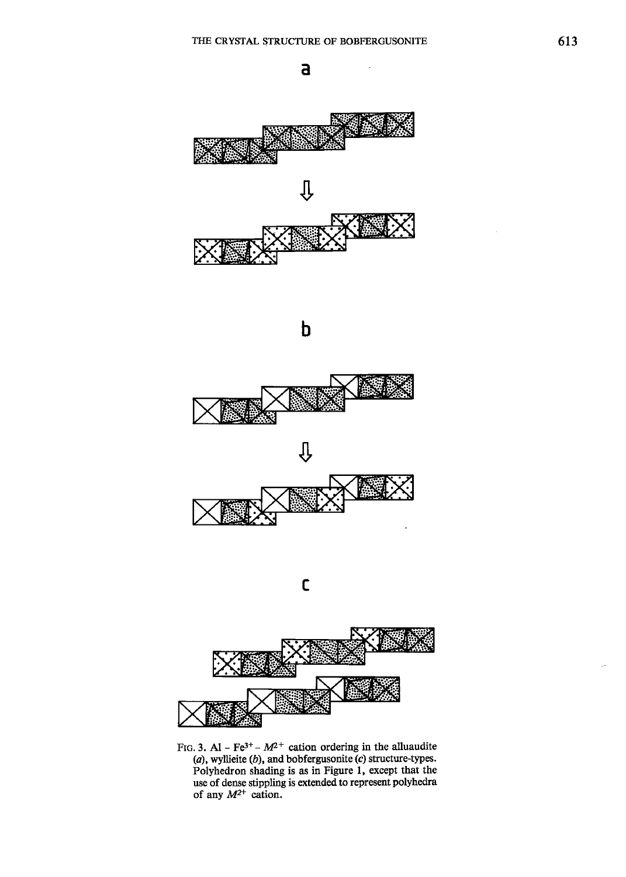











FIG. 3. Al - Fe<sup>3+</sup> -  $M^{2+}$  cation ordering in the alluaudite  $(a)$ , wyllieite  $(b)$ , and bobfergusonite  $(c)$  structure-types. Polyhedron shading is as in Figure l, except that the use of dense stippling is extended to represent polyhedra of any  $M^{2+}$  cation.